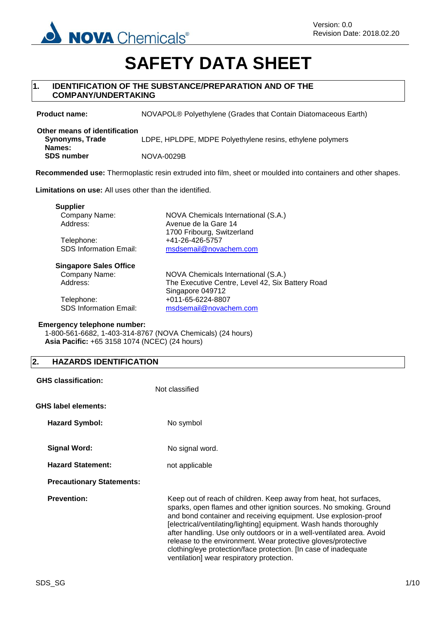

# **SAFETY DATA SHEET**

## **1. IDENTIFICATION OF THE SUBSTANCE/PREPARATION AND OF THE COMPANY/UNDERTAKING**

**Product name:** NOVAPOL® Polyethylene (Grades that Contain Diatomaceous Earth)

**Other means of identification Synonyms, Trade Names:** LDPE, HPLDPE, MDPE Polyethylene resins, ethylene polymers **SDS number** NOVA-0029B

**Recommended use:** Thermoplastic resin extruded into film, sheet or moulded into containers and other shapes.

**Limitations on use:** All uses other than the identified.

**Supplier**

Telephone: +41-26-426-5757

Company Name: NOVA Chemicals International (S.A.) Address: Avenue de la Gare 14 1700 Fribourg, Switzerland SDS Information Email: [msdsemail@novachem.com](mailto:msdsemail@novachem.com)

### **Singapore Sales Office**

Company Name: NOVA Chemicals International (S.A.)

Address: The Executive Centre, Level 42, Six Battery Road Singapore 049712 Telephone: +011-65-6224-8807 SDS Information Email: [msdsemail@novachem.com](mailto:msdsemail@novachem.com)

## **Emergency telephone number:**

1-800-561-6682, 1-403-314-8767 (NOVA Chemicals) (24 hours) **Asia Pacific:** +65 3158 1074 (NCEC) (24 hours)

## **2. HAZARDS IDENTIFICATION**

| <b>GHS classification:</b>       | Not classified                                                                                                                                                                                                                                                                                                                                                                                                                                                                                                                             |
|----------------------------------|--------------------------------------------------------------------------------------------------------------------------------------------------------------------------------------------------------------------------------------------------------------------------------------------------------------------------------------------------------------------------------------------------------------------------------------------------------------------------------------------------------------------------------------------|
| <b>GHS label elements:</b>       |                                                                                                                                                                                                                                                                                                                                                                                                                                                                                                                                            |
| <b>Hazard Symbol:</b>            | No symbol                                                                                                                                                                                                                                                                                                                                                                                                                                                                                                                                  |
| <b>Signal Word:</b>              | No signal word.                                                                                                                                                                                                                                                                                                                                                                                                                                                                                                                            |
| <b>Hazard Statement:</b>         | not applicable                                                                                                                                                                                                                                                                                                                                                                                                                                                                                                                             |
| <b>Precautionary Statements:</b> |                                                                                                                                                                                                                                                                                                                                                                                                                                                                                                                                            |
| <b>Prevention:</b>               | Keep out of reach of children. Keep away from heat, hot surfaces,<br>sparks, open flames and other ignition sources. No smoking. Ground<br>and bond container and receiving equipment. Use explosion-proof<br>[electrical/ventilating/lighting] equipment. Wash hands thoroughly<br>after handling. Use only outdoors or in a well-ventilated area. Avoid<br>release to the environment. Wear protective gloves/protective<br>clothing/eye protection/face protection. [In case of inadequate<br>ventilation] wear respiratory protection. |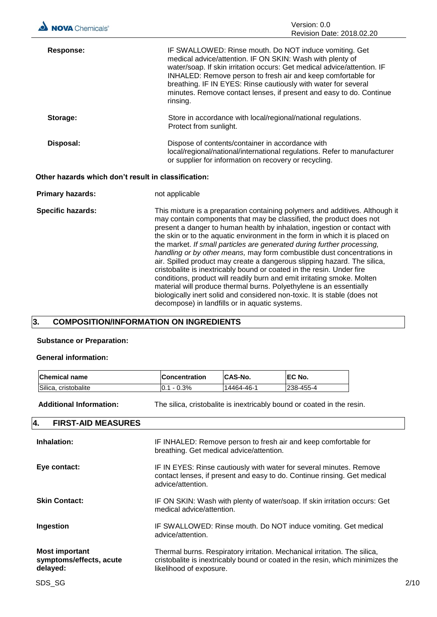| Response: | IF SWALLOWED: Rinse mouth. Do NOT induce vomiting. Get<br>medical advice/attention. IF ON SKIN: Wash with plenty of<br>water/soap. If skin irritation occurs: Get medical advice/attention. IF<br>INHALED: Remove person to fresh air and keep comfortable for<br>breathing. IF IN EYES: Rinse cautiously with water for several<br>minutes. Remove contact lenses, if present and easy to do. Continue<br>rinsing. |
|-----------|---------------------------------------------------------------------------------------------------------------------------------------------------------------------------------------------------------------------------------------------------------------------------------------------------------------------------------------------------------------------------------------------------------------------|
| Storage:  | Store in accordance with local/regional/national regulations.<br>Protect from sunlight.                                                                                                                                                                                                                                                                                                                             |
| Disposal: | Dispose of contents/container in accordance with<br>local/regional/national/international regulations. Refer to manufacturer<br>or supplier for information on recovery or recycling.                                                                                                                                                                                                                               |

## **Other hazards which don't result in classification:**

| <b>Primary hazards:</b>  | not applicable                                                                                                                                                                                                                                                                                                                                                                                                                                                                                                                                                                                                                                                                                                                                                                                                                                                                                              |
|--------------------------|-------------------------------------------------------------------------------------------------------------------------------------------------------------------------------------------------------------------------------------------------------------------------------------------------------------------------------------------------------------------------------------------------------------------------------------------------------------------------------------------------------------------------------------------------------------------------------------------------------------------------------------------------------------------------------------------------------------------------------------------------------------------------------------------------------------------------------------------------------------------------------------------------------------|
| <b>Specific hazards:</b> | This mixture is a preparation containing polymers and additives. Although it<br>may contain components that may be classified, the product does not<br>present a danger to human health by inhalation, ingestion or contact with<br>the skin or to the aquatic environment in the form in which it is placed on<br>the market. If small particles are generated during further processing,<br>handling or by other means, may form combustible dust concentrations in<br>air. Spilled product may create a dangerous slipping hazard. The silica,<br>cristobalite is inextricably bound or coated in the resin. Under fire<br>conditions, product will readily burn and emit irritating smoke. Molten<br>material will produce thermal burns. Polyethylene is an essentially<br>biologically inert solid and considered non-toxic. It is stable (does not<br>decompose) in landfills or in aquatic systems. |

## **3. COMPOSITION/INFORMATION ON INGREDIENTS**

## **Substance or Preparation:**

## **General information:**

| <b>Chemical name</b> | <b>Concentration</b> | <b>CAS-No.</b> | <b>IEC No.</b>   |
|----------------------|----------------------|----------------|------------------|
| Silica, cristobalite | $10.1 - 0.3\%$       | 14464-46-1     | <b>238-455-4</b> |

**Additional Information:** The silica, cristobalite is inextricably bound or coated in the resin.

| 4.<br><b>FIRST-AID MEASURES</b>                              |                                                                                                                                                                                        |
|--------------------------------------------------------------|----------------------------------------------------------------------------------------------------------------------------------------------------------------------------------------|
| Inhalation:                                                  | IF INHALED: Remove person to fresh air and keep comfortable for<br>breathing. Get medical advice/attention.                                                                            |
| Eye contact:                                                 | IF IN EYES: Rinse cautiously with water for several minutes. Remove<br>contact lenses, if present and easy to do. Continue rinsing. Get medical<br>advice/attention.                   |
| <b>Skin Contact:</b>                                         | IF ON SKIN: Wash with plenty of water/soap. If skin irritation occurs: Get<br>medical advice/attention.                                                                                |
| Ingestion                                                    | IF SWALLOWED: Rinse mouth. Do NOT induce vomiting. Get medical<br>advice/attention.                                                                                                    |
| <b>Most important</b><br>symptoms/effects, acute<br>delayed: | Thermal burns. Respiratory irritation. Mechanical irritation. The silica,<br>cristobalite is inextricably bound or coated in the resin, which minimizes the<br>likelihood of exposure. |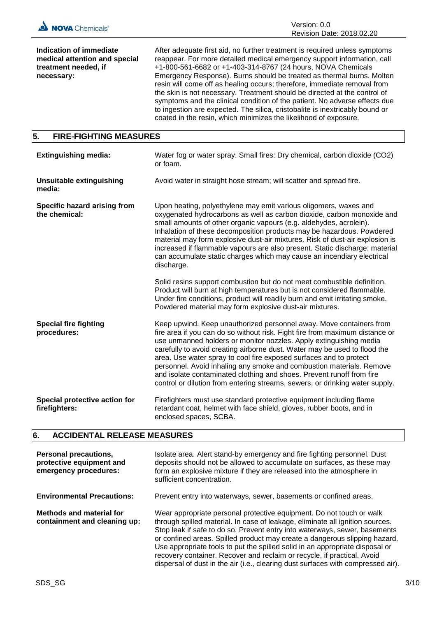

**Indication of immediate medical attention and special treatment needed, if necessary:**

After adequate first aid, no further treatment is required unless symptoms reappear. For more detailed medical emergency support information, call +1-800-561-6682 or +1-403-314-8767 (24 hours, NOVA Chemicals Emergency Response). Burns should be treated as thermal burns. Molten resin will come off as healing occurs; therefore, immediate removal from the skin is not necessary. Treatment should be directed at the control of symptoms and the clinical condition of the patient. No adverse effects due to ingestion are expected. The silica, cristobalite is inextricably bound or coated in the resin, which minimizes the likelihood of exposure.

## **5. FIRE-FIGHTING MEASURES**

| <b>Extinguishing media:</b>                    | Water fog or water spray. Small fires: Dry chemical, carbon dioxide (CO2)<br>or foam.                                                                                                                                                                                                                                                                                                                                                                                                                                                                                                                         |
|------------------------------------------------|---------------------------------------------------------------------------------------------------------------------------------------------------------------------------------------------------------------------------------------------------------------------------------------------------------------------------------------------------------------------------------------------------------------------------------------------------------------------------------------------------------------------------------------------------------------------------------------------------------------|
| <b>Unsuitable extinguishing</b><br>media:      | Avoid water in straight hose stream; will scatter and spread fire.                                                                                                                                                                                                                                                                                                                                                                                                                                                                                                                                            |
| Specific hazard arising from<br>the chemical:  | Upon heating, polyethylene may emit various oligomers, waxes and<br>oxygenated hydrocarbons as well as carbon dioxide, carbon monoxide and<br>small amounts of other organic vapours (e.g. aldehydes, acrolein).<br>Inhalation of these decomposition products may be hazardous. Powdered<br>material may form explosive dust-air mixtures. Risk of dust-air explosion is<br>increased if flammable vapours are also present. Static discharge: material<br>can accumulate static charges which may cause an incendiary electrical<br>discharge.                                                              |
|                                                | Solid resins support combustion but do not meet combustible definition.<br>Product will burn at high temperatures but is not considered flammable.<br>Under fire conditions, product will readily burn and emit irritating smoke.<br>Powdered material may form explosive dust-air mixtures.                                                                                                                                                                                                                                                                                                                  |
| <b>Special fire fighting</b><br>procedures:    | Keep upwind. Keep unauthorized personnel away. Move containers from<br>fire area if you can do so without risk. Fight fire from maximum distance or<br>use unmanned holders or monitor nozzles. Apply extinguishing media<br>carefully to avoid creating airborne dust. Water may be used to flood the<br>area. Use water spray to cool fire exposed surfaces and to protect<br>personnel. Avoid inhaling any smoke and combustion materials. Remove<br>and isolate contaminated clothing and shoes. Prevent runoff from fire<br>control or dilution from entering streams, sewers, or drinking water supply. |
| Special protective action for<br>firefighters: | Firefighters must use standard protective equipment including flame<br>retardant coat, helmet with face shield, gloves, rubber boots, and in<br>enclosed spaces, SCBA.                                                                                                                                                                                                                                                                                                                                                                                                                                        |

## **6. ACCIDENTAL RELEASE MEASURES**

| Personal precautions,<br>protective equipment and<br>emergency procedures: | Isolate area. Alert stand-by emergency and fire fighting personnel. Dust<br>deposits should not be allowed to accumulate on surfaces, as these may<br>form an explosive mixture if they are released into the atmosphere in<br>sufficient concentration.                                                                                                                                                                                                                                                                                                         |
|----------------------------------------------------------------------------|------------------------------------------------------------------------------------------------------------------------------------------------------------------------------------------------------------------------------------------------------------------------------------------------------------------------------------------------------------------------------------------------------------------------------------------------------------------------------------------------------------------------------------------------------------------|
| <b>Environmental Precautions:</b>                                          | Prevent entry into waterways, sewer, basements or confined areas.                                                                                                                                                                                                                                                                                                                                                                                                                                                                                                |
| Methods and material for<br>containment and cleaning up:                   | Wear appropriate personal protective equipment. Do not touch or walk<br>through spilled material. In case of leakage, eliminate all ignition sources.<br>Stop leak if safe to do so. Prevent entry into waterways, sewer, basements<br>or confined areas. Spilled product may create a dangerous slipping hazard.<br>Use appropriate tools to put the spilled solid in an appropriate disposal or<br>recovery container. Recover and reclaim or recycle, if practical. Avoid<br>dispersal of dust in the air (i.e., clearing dust surfaces with compressed air). |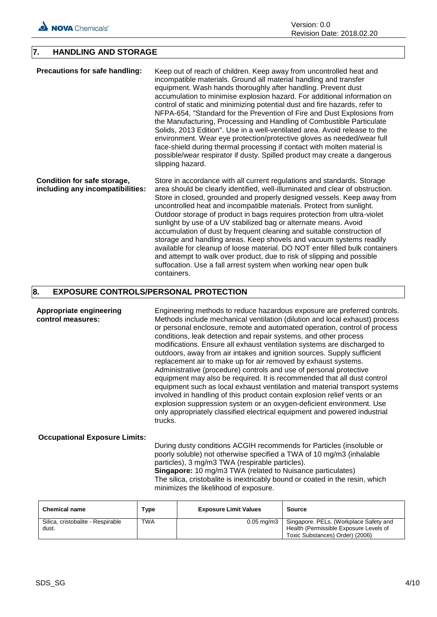

## **7. HANDLING AND STORAGE**

**Precautions for safe handling:** Keep out of reach of children. Keep away from uncontrolled heat and incompatible materials. Ground all material handling and transfer equipment. Wash hands thoroughly after handling. Prevent dust accumulation to minimise explosion hazard. For additional information on control of static and minimizing potential dust and fire hazards, refer to NFPA-654, "Standard for the Prevention of Fire and Dust Explosions from the Manufacturing, Processing and Handling of Combustible Particulate Solids, 2013 Edition". Use in a well-ventilated area. Avoid release to the environment. Wear eye protection/protective gloves as needed/wear full face-shield during thermal processing if contact with molten material is possible/wear respirator if dusty. Spilled product may create a dangerous slipping hazard. **Condition for safe storage, including any incompatibilities:** Store in accordance with all current regulations and standards. Storage area should be clearly identified, well-illuminated and clear of obstruction.

Store in closed, grounded and properly designed vessels. Keep away from uncontrolled heat and incompatible materials. Protect from sunlight. Outdoor storage of product in bags requires protection from ultra-violet sunlight by use of a UV stabilized bag or alternate means. Avoid accumulation of dust by frequent cleaning and suitable construction of storage and handling areas. Keep shovels and vacuum systems readily available for cleanup of loose material. DO NOT enter filled bulk containers and attempt to walk over product, due to risk of slipping and possible suffocation. Use a fall arrest system when working near open bulk containers.

## **8. EXPOSURE CONTROLS/PERSONAL PROTECTION**

**Appropriate engineering control measures:** Engineering methods to reduce hazardous exposure are preferred controls. Methods include mechanical ventilation (dilution and local exhaust) process or personal enclosure, remote and automated operation, control of process conditions, leak detection and repair systems, and other process modifications. Ensure all exhaust ventilation systems are discharged to outdoors, away from air intakes and ignition sources. Supply sufficient replacement air to make up for air removed by exhaust systems. Administrative (procedure) controls and use of personal protective equipment may also be required. It is recommended that all dust control equipment such as local exhaust ventilation and material transport systems involved in handling of this product contain explosion relief vents or an explosion suppression system or an oxygen-deficient environment. Use only appropriately classified electrical equipment and powered industrial trucks.

**Occupational Exposure Limits:**

During dusty conditions ACGIH recommends for Particles (insoluble or poorly soluble) not otherwise specified a TWA of 10 mg/m3 (inhalable particles), 3 mg/m3 TWA (respirable particles). **Singapore:** 10 mg/m3 TWA (related to Nuisance particulates) The silica, cristobalite is inextricably bound or coated in the resin, which minimizes the likelihood of exposure.

| <b>Chemical name</b>                       | <b>Type</b> | <b>Exposure Limit Values</b> | <b>Source</b>                                                                                                       |
|--------------------------------------------|-------------|------------------------------|---------------------------------------------------------------------------------------------------------------------|
| Silica, cristobalite - Respirable<br>dust. | <b>TWA</b>  | $0.05 \text{ ma/m}$ 3        | Singapore. PELs. (Workplace Safety and<br>Health (Permissible Exposure Levels of<br>Toxic Substances) Order) (2006) |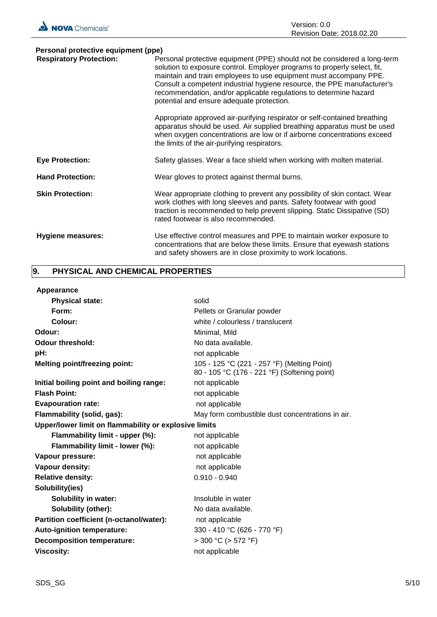| NOVA Chemicals® | Version: 0.0<br>Revision Date: 2018.02.20 |
|-----------------|-------------------------------------------|
|                 |                                           |

| Personal protective equipment (ppe) |                                                                                                                                                                                                                                                                                                                                                                                                                        |  |  |
|-------------------------------------|------------------------------------------------------------------------------------------------------------------------------------------------------------------------------------------------------------------------------------------------------------------------------------------------------------------------------------------------------------------------------------------------------------------------|--|--|
| <b>Respiratory Protection:</b>      | Personal protective equipment (PPE) should not be considered a long-term<br>solution to exposure control. Employer programs to properly select, fit,<br>maintain and train employees to use equipment must accompany PPE.<br>Consult a competent industrial hygiene resource, the PPE manufacturer's<br>recommendation, and/or applicable regulations to determine hazard<br>potential and ensure adequate protection. |  |  |
|                                     | Appropriate approved air-purifying respirator or self-contained breathing<br>apparatus should be used. Air supplied breathing apparatus must be used<br>when oxygen concentrations are low or if airborne concentrations exceed<br>the limits of the air-purifying respirators.                                                                                                                                        |  |  |
| <b>Eye Protection:</b>              | Safety glasses. Wear a face shield when working with molten material.                                                                                                                                                                                                                                                                                                                                                  |  |  |
| <b>Hand Protection:</b>             | Wear gloves to protect against thermal burns.                                                                                                                                                                                                                                                                                                                                                                          |  |  |
| <b>Skin Protection:</b>             | Wear appropriate clothing to prevent any possibility of skin contact. Wear<br>work clothes with long sleeves and pants. Safety footwear with good<br>traction is recommended to help prevent slipping. Static Dissipative (SD)<br>rated footwear is also recommended.                                                                                                                                                  |  |  |
| Hygiene measures:                   | Use effective control measures and PPE to maintain worker exposure to<br>concentrations that are below these limits. Ensure that eyewash stations<br>and safety showers are in close proximity to work locations.                                                                                                                                                                                                      |  |  |

## **9. PHYSICAL AND CHEMICAL PROPERTIES**

| Appearance                                            |                                                                                             |  |
|-------------------------------------------------------|---------------------------------------------------------------------------------------------|--|
| <b>Physical state:</b>                                | solid                                                                                       |  |
| Form:                                                 | Pellets or Granular powder                                                                  |  |
| Colour:                                               | white / colourless / translucent                                                            |  |
| Odour:                                                | Minimal, Mild                                                                               |  |
| <b>Odour threshold:</b>                               | No data available.                                                                          |  |
| pH:                                                   | not applicable                                                                              |  |
| <b>Melting point/freezing point:</b>                  | 105 - 125 °C (221 - 257 °F) (Melting Point)<br>80 - 105 °C (176 - 221 °F) (Softening point) |  |
| Initial boiling point and boiling range:              | not applicable                                                                              |  |
| <b>Flash Point:</b>                                   | not applicable                                                                              |  |
| <b>Evapouration rate:</b>                             | not applicable                                                                              |  |
| Flammability (solid, gas):                            | May form combustible dust concentrations in air.                                            |  |
| Upper/lower limit on flammability or explosive limits |                                                                                             |  |
| Flammability limit - upper (%):                       | not applicable                                                                              |  |
| Flammability limit - lower (%):                       | not applicable                                                                              |  |
| Vapour pressure:                                      | not applicable                                                                              |  |
| Vapour density:                                       | not applicable                                                                              |  |
| <b>Relative density:</b>                              | $0.910 - 0.940$                                                                             |  |
| Solubility(ies)                                       |                                                                                             |  |
| <b>Solubility in water:</b>                           | Insoluble in water                                                                          |  |
| Solubility (other):                                   | No data available.                                                                          |  |
| Partition coefficient (n-octanol/water):              | not applicable                                                                              |  |
| Auto-ignition temperature:                            | 330 - 410 °C (626 - 770 °F)                                                                 |  |
| <b>Decomposition temperature:</b>                     | $>$ 300 °C ( $>$ 572 °F)                                                                    |  |
| <b>Viscosity:</b>                                     | not applicable                                                                              |  |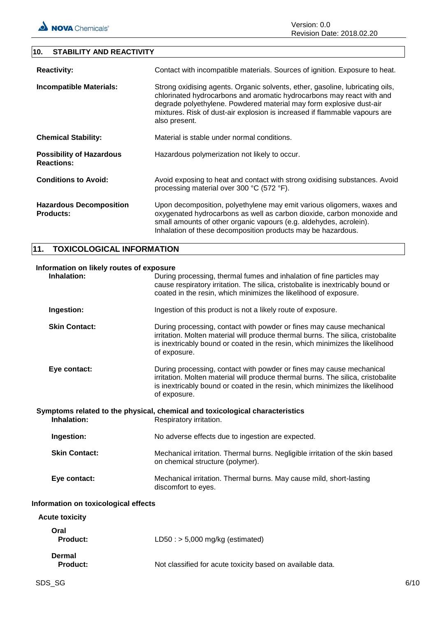Version: 0.0 Revision Date: 2018.02.20

## **10. STABILITY AND REACTIVITY**

| <b>Reactivity:</b>                                   | Contact with incompatible materials. Sources of ignition. Exposure to heat.                                                                                                                                                                                                                                                  |
|------------------------------------------------------|------------------------------------------------------------------------------------------------------------------------------------------------------------------------------------------------------------------------------------------------------------------------------------------------------------------------------|
| <b>Incompatible Materials:</b>                       | Strong oxidising agents. Organic solvents, ether, gasoline, lubricating oils,<br>chlorinated hydrocarbons and aromatic hydrocarbons may react with and<br>degrade polyethylene. Powdered material may form explosive dust-air<br>mixtures. Risk of dust-air explosion is increased if flammable vapours are<br>also present. |
| <b>Chemical Stability:</b>                           | Material is stable under normal conditions.                                                                                                                                                                                                                                                                                  |
| <b>Possibility of Hazardous</b><br><b>Reactions:</b> | Hazardous polymerization not likely to occur.                                                                                                                                                                                                                                                                                |
| <b>Conditions to Avoid:</b>                          | Avoid exposing to heat and contact with strong oxidising substances. Avoid<br>processing material over 300 °C (572 °F).                                                                                                                                                                                                      |
| <b>Hazardous Decomposition</b><br><b>Products:</b>   | Upon decomposition, polyethylene may emit various oligomers, waxes and<br>oxygenated hydrocarbons as well as carbon dioxide, carbon monoxide and<br>small amounts of other organic vapours (e.g. aldehydes, acrolein).<br>Inhalation of these decomposition products may be hazardous.                                       |

## **11. TOXICOLOGICAL INFORMATION**

| Information on likely routes of exposure<br>Inhalation:<br>During processing, thermal fumes and inhalation of fine particles may |                                                                                                                                                                                                                                                          |  |
|----------------------------------------------------------------------------------------------------------------------------------|----------------------------------------------------------------------------------------------------------------------------------------------------------------------------------------------------------------------------------------------------------|--|
|                                                                                                                                  | cause respiratory irritation. The silica, cristobalite is inextricably bound or<br>coated in the resin, which minimizes the likelihood of exposure.                                                                                                      |  |
| Ingestion:                                                                                                                       | Ingestion of this product is not a likely route of exposure.                                                                                                                                                                                             |  |
| <b>Skin Contact:</b>                                                                                                             | During processing, contact with powder or fines may cause mechanical<br>irritation. Molten material will produce thermal burns. The silica, cristobalite<br>is inextricably bound or coated in the resin, which minimizes the likelihood<br>of exposure. |  |
| Eye contact:                                                                                                                     | During processing, contact with powder or fines may cause mechanical<br>irritation. Molten material will produce thermal burns. The silica, cristobalite<br>is inextricably bound or coated in the resin, which minimizes the likelihood<br>of exposure. |  |
| Symptoms related to the physical, chemical and toxicological characteristics<br>Inhalation:<br>Respiratory irritation.           |                                                                                                                                                                                                                                                          |  |
| Ingestion:                                                                                                                       | No adverse effects due to ingestion are expected.                                                                                                                                                                                                        |  |
| <b>Skin Contact:</b>                                                                                                             | Mechanical irritation. Thermal burns. Negligible irritation of the skin based<br>on chemical structure (polymer).                                                                                                                                        |  |
| Eye contact:                                                                                                                     | Mechanical irritation. Thermal burns. May cause mild, short-lasting<br>discomfort to eyes.                                                                                                                                                               |  |
| Information on toxicological effects                                                                                             |                                                                                                                                                                                                                                                          |  |
| <b>Acute toxicity</b>                                                                                                            |                                                                                                                                                                                                                                                          |  |
| Oral<br>Product:                                                                                                                 | LD50 : $> 5,000$ mg/kg (estimated)                                                                                                                                                                                                                       |  |
| <b>Dermal</b><br><b>Product:</b>                                                                                                 | Not classified for acute toxicity based on available data.                                                                                                                                                                                               |  |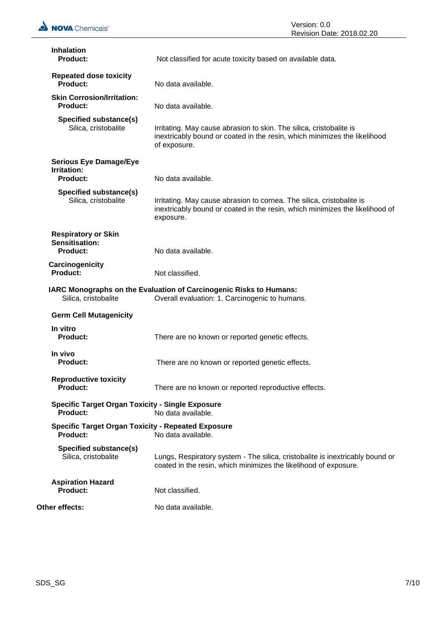| <b>Inhalation</b><br><b>Product:</b>                                       | Not classified for acute toxicity based on available data.                                                                                                         |
|----------------------------------------------------------------------------|--------------------------------------------------------------------------------------------------------------------------------------------------------------------|
| <b>Repeated dose toxicity</b><br><b>Product:</b>                           | No data available.                                                                                                                                                 |
| <b>Skin Corrosion/Irritation:</b><br><b>Product:</b>                       | No data available.                                                                                                                                                 |
| Specified substance(s)<br>Silica, cristobalite                             | Irritating. May cause abrasion to skin. The silica, cristobalite is<br>inextricably bound or coated in the resin, which minimizes the likelihood<br>of exposure.   |
| <b>Serious Eye Damage/Eye</b><br>Irritation:<br><b>Product:</b>            | No data available.                                                                                                                                                 |
| Specified substance(s)<br>Silica, cristobalite                             | Irritating. May cause abrasion to cornea. The silica, cristobalite is<br>inextricably bound or coated in the resin, which minimizes the likelihood of<br>exposure. |
| <b>Respiratory or Skin</b><br>Sensitisation:<br><b>Product:</b>            | No data available.                                                                                                                                                 |
| Carcinogenicity                                                            |                                                                                                                                                                    |
| Product:                                                                   | Not classified.                                                                                                                                                    |
| Silica, cristobalite                                                       | IARC Monographs on the Evaluation of Carcinogenic Risks to Humans:<br>Overall evaluation: 1. Carcinogenic to humans.                                               |
| <b>Germ Cell Mutagenicity</b>                                              |                                                                                                                                                                    |
| In vitro<br><b>Product:</b>                                                | There are no known or reported genetic effects.                                                                                                                    |
| In vivo<br><b>Product:</b>                                                 | There are no known or reported genetic effects.                                                                                                                    |
| <b>Reproductive toxicity</b><br><b>Product:</b>                            | There are no known or reported reproductive effects.                                                                                                               |
| <b>Specific Target Organ Toxicity - Single Exposure</b><br><b>Product:</b> | No data available.                                                                                                                                                 |
| <b>Specific Target Organ Toxicity - Repeated Exposure</b><br>Product:      | No data available.                                                                                                                                                 |
| Specified substance(s)<br>Silica, cristobalite                             | Lungs, Respiratory system - The silica, cristobalite is inextricably bound or<br>coated in the resin, which minimizes the likelihood of exposure.                  |
| <b>Aspiration Hazard</b><br><b>Product:</b>                                | Not classified.                                                                                                                                                    |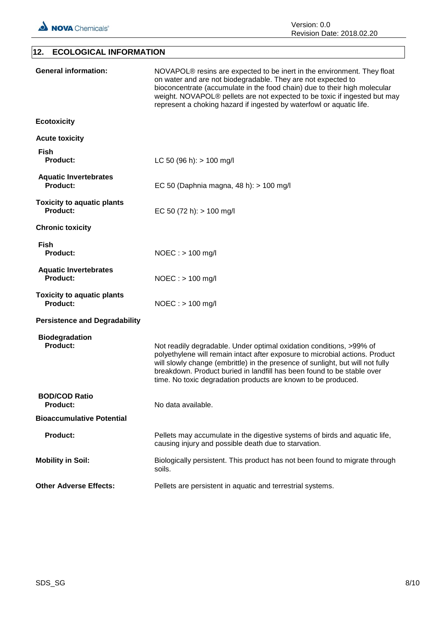

## **12. ECOLOGICAL INFORMATION General information:** NOVAPOL® resins are expected to be inert in the environment. They float on water and are not biodegradable. They are not expected to bioconcentrate (accumulate in the food chain) due to their high molecular weight. NOVAPOL® pellets are not expected to be toxic if ingested but may represent a choking hazard if ingested by waterfowl or aquatic life. **Ecotoxicity Acute toxicity Fish Product:** LC 50 (96 h): > 100 mg/l **Aquatic Invertebrates Product:** EC 50 (Daphnia magna, 48 h): > 100 mg/l **Toxicity to aquatic plants Product:** EC 50 (72 h): > 100 mg/l **Chronic toxicity Fish Product:** NOEC : > 100 mg/l **Aquatic Invertebrates Product:** NOEC : > 100 mg/l **Toxicity to aquatic plants Product:** NOEC : > 100 mg/l **Persistence and Degradability Biodegradation Product:** Not readily degradable. Under optimal oxidation conditions, >99% of polyethylene will remain intact after exposure to microbial actions. Product will slowly change (embrittle) in the presence of sunlight, but will not fully breakdown. Product buried in landfill has been found to be stable over time. No toxic degradation products are known to be produced. **BOD/COD Ratio Product:** No data available. **Bioaccumulative Potential Product:** Pellets may accumulate in the digestive systems of birds and aquatic life, causing injury and possible death due to starvation. **Mobility in Soil:** Biologically persistent. This product has not been found to migrate through soils. **Other Adverse Effects:** Pellets are persistent in aquatic and terrestrial systems.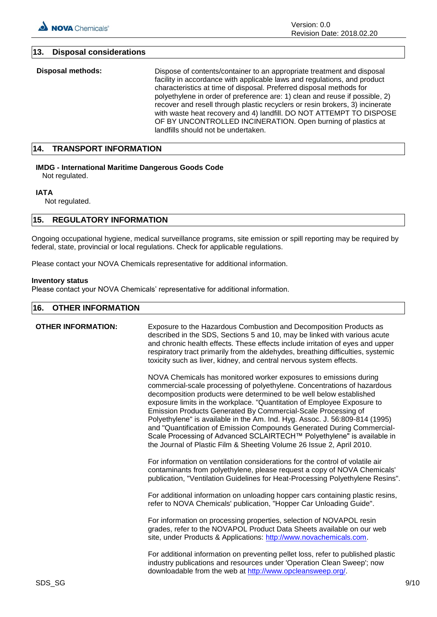## **13. Disposal considerations**

**Disposal methods:** Dispose of contents/container to an appropriate treatment and disposal facility in accordance with applicable laws and regulations, and product characteristics at time of disposal. Preferred disposal methods for polyethylene in order of preference are: 1) clean and reuse if possible, 2) recover and resell through plastic recyclers or resin brokers, 3) incinerate with waste heat recovery and 4) landfill. DO NOT ATTEMPT TO DISPOSE OF BY UNCONTROLLED INCINERATION. Open burning of plastics at landfills should not be undertaken.

## **14. TRANSPORT INFORMATION**

## **IMDG - International Maritime Dangerous Goods Code**

Not regulated.

### **IATA**

Not regulated.

## **15. REGULATORY INFORMATION**

Ongoing occupational hygiene, medical surveillance programs, site emission or spill reporting may be required by federal, state, provincial or local regulations. Check for applicable regulations.

Please contact your NOVA Chemicals representative for additional information.

#### **Inventory status**

Please contact your NOVA Chemicals' representative for additional information.

## **16. OTHER INFORMATION**

| <b>OTHER INFORMATION:</b> | Exposure to the Hazardous Combustion and Decomposition Products as<br>described in the SDS, Sections 5 and 10, may be linked with various acute<br>and chronic health effects. These effects include irritation of eyes and upper<br>respiratory tract primarily from the aldehydes, breathing difficulties, systemic<br>toxicity such as liver, kidney, and central nervous system effects.                                                                                                                                                                                                                                                                                 |
|---------------------------|------------------------------------------------------------------------------------------------------------------------------------------------------------------------------------------------------------------------------------------------------------------------------------------------------------------------------------------------------------------------------------------------------------------------------------------------------------------------------------------------------------------------------------------------------------------------------------------------------------------------------------------------------------------------------|
|                           | NOVA Chemicals has monitored worker exposures to emissions during<br>commercial-scale processing of polyethylene. Concentrations of hazardous<br>decomposition products were determined to be well below established<br>exposure limits in the workplace. "Quantitation of Employee Exposure to<br>Emission Products Generated By Commercial-Scale Processing of<br>Polyethylene" is available in the Am. Ind. Hyg. Assoc. J. 56:809-814 (1995)<br>and "Quantification of Emission Compounds Generated During Commercial-<br>Scale Processing of Advanced SCLAIRTECH™ Polyethylene" is available in<br>the Journal of Plastic Film & Sheeting Volume 26 Issue 2, April 2010. |
|                           | For information on ventilation considerations for the control of volatile air<br>contaminants from polyethylene, please request a copy of NOVA Chemicals'<br>publication, "Ventilation Guidelines for Heat-Processing Polyethylene Resins".                                                                                                                                                                                                                                                                                                                                                                                                                                  |
|                           | For additional information on unloading hopper cars containing plastic resins,<br>refer to NOVA Chemicals' publication, "Hopper Car Unloading Guide".                                                                                                                                                                                                                                                                                                                                                                                                                                                                                                                        |
|                           | For information on processing properties, selection of NOVAPOL resin<br>grades, refer to the NOVAPOL Product Data Sheets available on our web<br>site, under Products & Applications: http://www.novachemicals.com.                                                                                                                                                                                                                                                                                                                                                                                                                                                          |
|                           | For additional information on preventing pellet loss, refer to published plastic<br>industry publications and resources under 'Operation Clean Sweep'; now<br>downloadable from the web at http://www.opcleansweep.org/.                                                                                                                                                                                                                                                                                                                                                                                                                                                     |